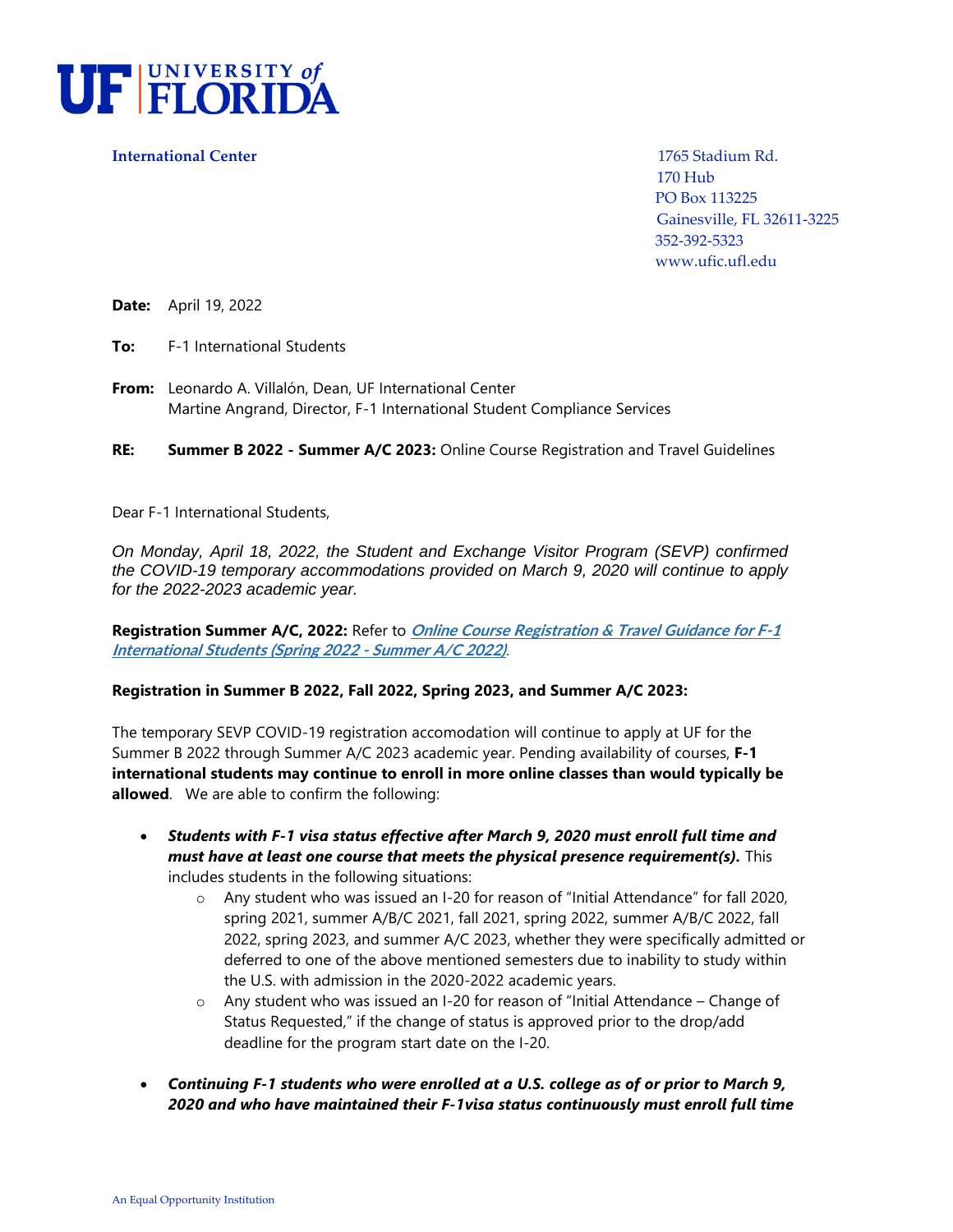

**International Center** 1765 Stadium Rd.

 170 Hub PO Box 113225 Gainesville, FL 32611-3225 352-392-5323 www.ufic.ufl.edu

**Date:** April 19, 2022

**To:** F-1 International Students

**From:** Leonardo A. Villalón, Dean, UF International Center Martine Angrand, Director, F-1 International Student Compliance Services

**RE: Summer B 2022 - Summer A/C 2023:** Online Course Registration and Travel Guidelines

Dear F-1 International Students,

*On Monday, April 18, 2022, the Student and Exchange Visitor Program (SEVP) confirmed the COVID-19 temporary accommodations provided on March 9, 2020 will continue to apply for the 2022-2023 academic year.* 

**Registration Summer A/C, 2022:** Refer to **[Online Course Registration & Travel Guidance for F-1](https://www.ufic.ufl.edu/iss/forms/Spring2022-SummerAC2022OnlineCourseRegistrationTravelGuidanceforF-1InternationalStudents.pdf)  [International Students \(Spring 2022 -](https://www.ufic.ufl.edu/iss/forms/Spring2022-SummerAC2022OnlineCourseRegistrationTravelGuidanceforF-1InternationalStudents.pdf) Summer A/C 2022)**.

#### **Registration in Summer B 2022, Fall 2022, Spring 2023, and Summer A/C 2023:**

The temporary SEVP COVID-19 registration accomodation will continue to apply at UF for the Summer B 2022 through Summer A/C 2023 academic year. Pending availability of courses, **F-1 international students may continue to enroll in more online classes than would typically be allowed**. We are able to confirm the following:

- *Students with F-1 visa status effective after March 9, 2020 must enroll full time and must have at least one course that meets the physical presence requirement(s).* This includes students in the following situations:
	- o Any student who was issued an I-20 for reason of "Initial Attendance" for fall 2020, spring 2021, summer A/B/C 2021, fall 2021, spring 2022, summer A/B/C 2022, fall 2022, spring 2023, and summer A/C 2023, whether they were specifically admitted or deferred to one of the above mentioned semesters due to inability to study within the U.S. with admission in the 2020-2022 academic years.
	- $\circ$  Any student who was issued an I-20 for reason of "Initial Attendance Change of Status Requested," if the change of status is approved prior to the drop/add deadline for the program start date on the I-20.
- *Continuing F-1 students who were enrolled at a U.S. college as of or prior to March 9, 2020 and who have maintained their F-1visa status continuously must enroll full time*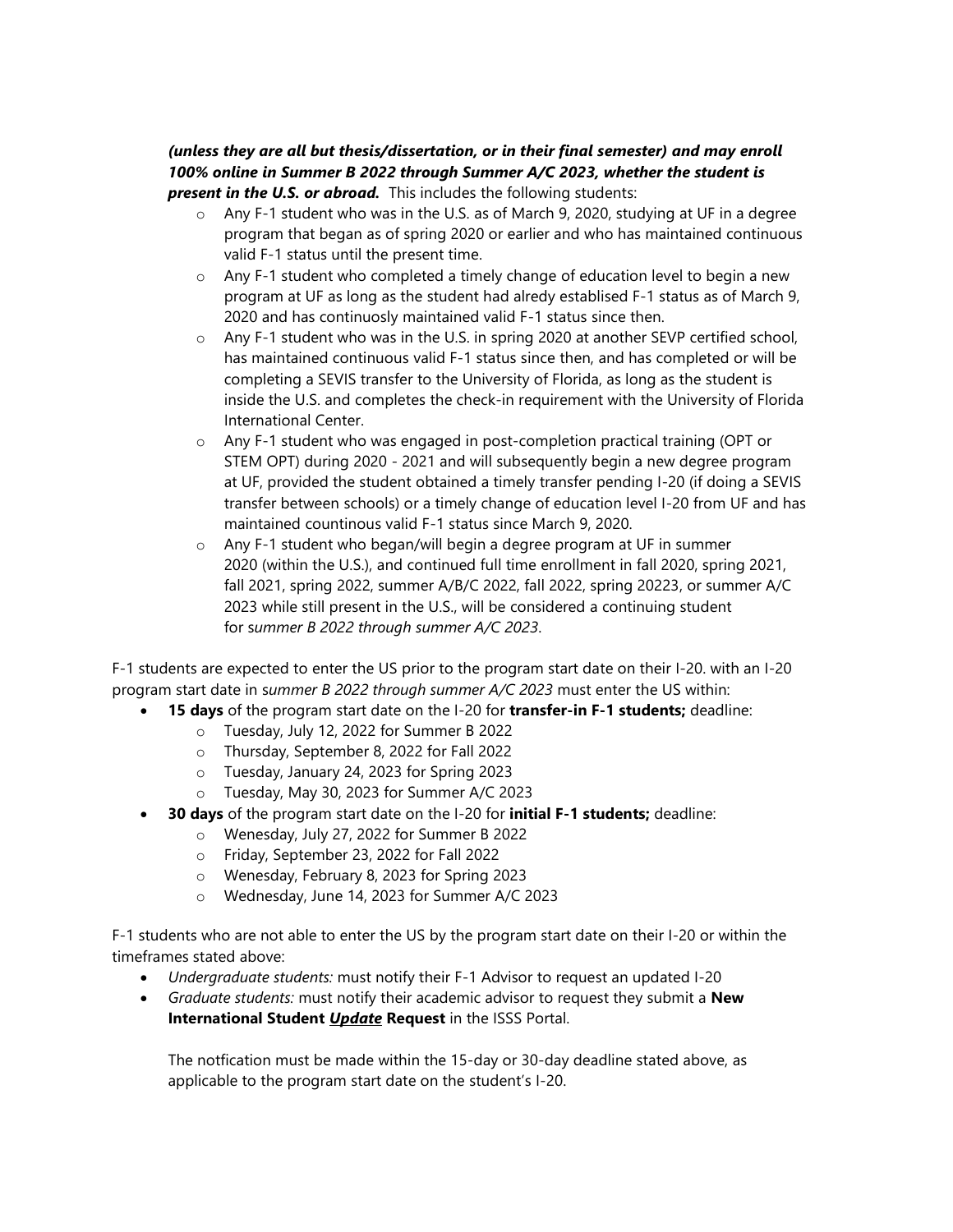## *(unless they are all but thesis/dissertation, or in their final semester) and may enroll 100% online in Summer B 2022 through Summer A/C 2023, whether the student is present in the U.S. or abroad.* This includes the following students:

- $\circ$  Any F-1 student who was in the U.S. as of March 9, 2020, studying at UF in a degree program that began as of spring 2020 or earlier and who has maintained continuous valid F-1 status until the present time.
- $\circ$  Any F-1 student who completed a timely change of education level to begin a new program at UF as long as the student had alredy establised F-1 status as of March 9, 2020 and has continuosly maintained valid F-1 status since then.
- $\circ$  Any F-1 student who was in the U.S. in spring 2020 at another SEVP certified school, has maintained continuous valid F-1 status since then, and has completed or will be completing a SEVIS transfer to the University of Florida, as long as the student is inside the U.S. and completes the check-in requirement with the University of Florida International Center.
- o Any F-1 student who was engaged in post-completion practical training (OPT or STEM OPT) during 2020 - 2021 and will subsequently begin a new degree program at UF, provided the student obtained a timely transfer pending I-20 (if doing a SEVIS transfer between schools) or a timely change of education level I-20 from UF and has maintained countinous valid F-1 status since March 9, 2020.
- o Any F-1 student who began/will begin a degree program at UF in summer 2020 (within the U.S.), and continued full time enrollment in fall 2020, spring 2021, fall 2021, spring 2022, summer A/B/C 2022, fall 2022, spring 20223, or summer A/C 2023 while still present in the U.S., will be considered a continuing student for s*ummer B 2022 through summer A/C 2023*.

F-1 students are expected to enter the US prior to the program start date on their I-20. with an I-20 program start date in s*ummer B 2022 through summer A/C 2023* must enter the US within:

- **15 days** of the program start date on the I-20 for **transfer-in F-1 students;** deadline:
	- o Tuesday, July 12, 2022 for Summer B 2022
	- o Thursday, September 8, 2022 for Fall 2022
	- o Tuesday, January 24, 2023 for Spring 2023
	- o Tuesday, May 30, 2023 for Summer A/C 2023
- **30 days** of the program start date on the I-20 for **initial F-1 students;** deadline:
	- o Wenesday, July 27, 2022 for Summer B 2022
	- o Friday, September 23, 2022 for Fall 2022
	- o Wenesday, February 8, 2023 for Spring 2023
	- o Wednesday, June 14, 2023 for Summer A/C 2023

F-1 students who are not able to enter the US by the program start date on their I-20 or within the timeframes stated above:

- *Undergraduate students:* must notify their F-1 Advisor to request an updated I-20
- *Graduate students:* must notify their academic advisor to request they submit a **New International Student** *Update* **Request** in the ISSS Portal.

The notfication must be made within the 15-day or 30-day deadline stated above, as applicable to the program start date on the student's I-20.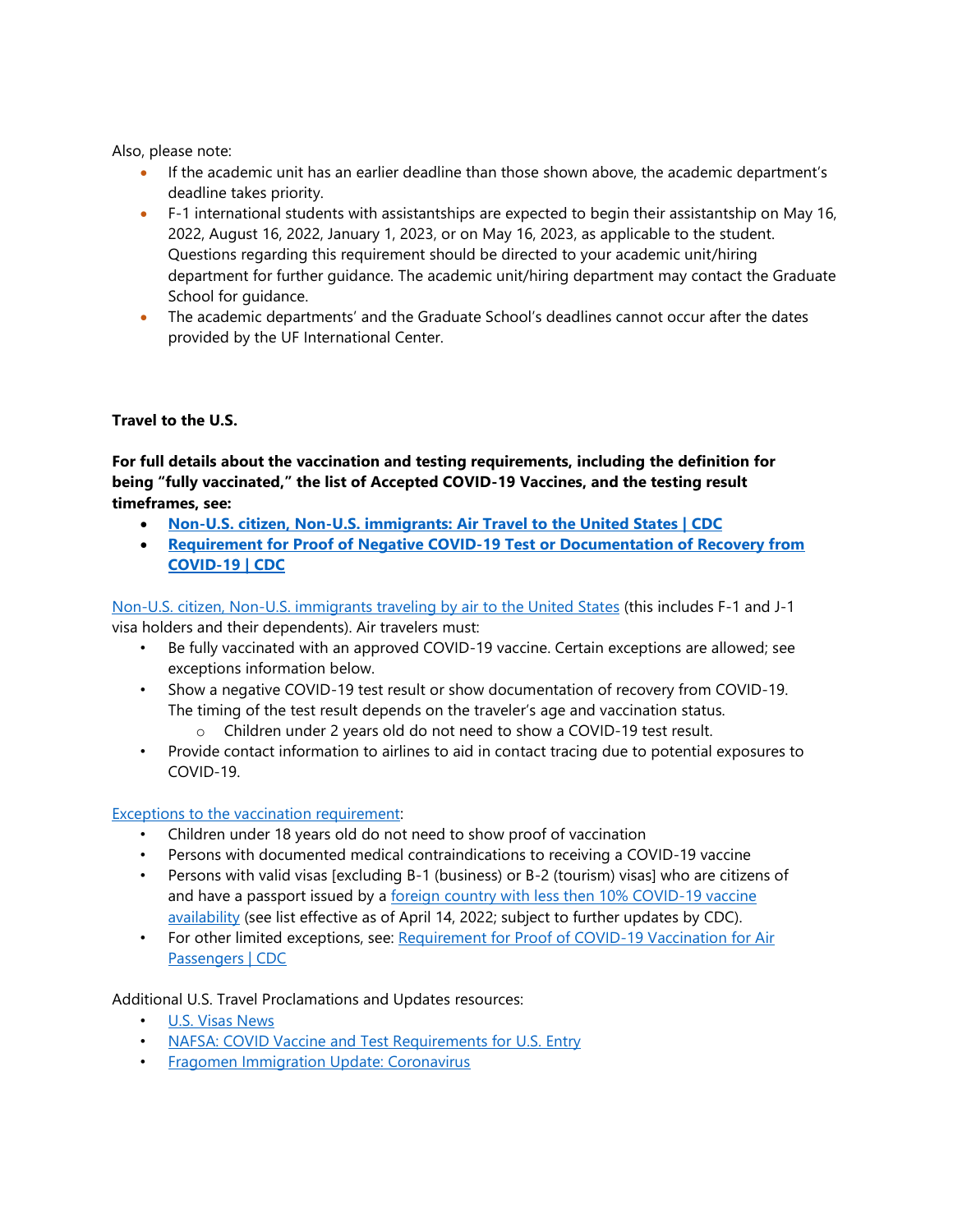Also, please note:

- If the academic unit has an earlier deadline than those shown above, the academic department's deadline takes priority.
- F-1 international students with assistantships are expected to begin their assistantship on May 16, 2022, August 16, 2022, January 1, 2023, or on May 16, 2023, as applicable to the student. Questions regarding this requirement should be directed to your academic unit/hiring department for further guidance. The academic unit/hiring department may contact the Graduate School for guidance.
- The academic departments' and the Graduate School's deadlines cannot occur after the dates provided by the UF International Center.

# **Travel to the U.S.**

**For full details about the vaccination and testing requirements, including the definition for being "fully vaccinated," the list of Accepted COVID-19 Vaccines, and the testing result timeframes, see:** 

- **[Non-U.S. citizen, Non-U.S. immigrants: Air Travel to the United States | CDC](https://www.cdc.gov/coronavirus/2019-ncov/travelers/noncitizens-US-air-travel.html)**
- **[Requirement for Proof of Negative COVID-19 Test or Documentation of Recovery from](https://www.cdc.gov/coronavirus/2019-ncov/travelers/testing-international-air-travelers.html)  [COVID-19 | CDC](https://www.cdc.gov/coronavirus/2019-ncov/travelers/testing-international-air-travelers.html)**

[Non-U.S. citizen, Non-U.S. immigrants traveling by air to the United States](https://www.cdc.gov/coronavirus/2019-ncov/travelers/noncitizens-US-air-travel.html) (this includes F-1 and J-1 visa holders and their dependents). Air travelers must:

- Be fully vaccinated with an approved COVID-19 vaccine. Certain exceptions are allowed; see exceptions information below.
- Show a negative COVID-19 test result or show documentation of recovery from COVID-19. The timing of the test result depends on the traveler's age and vaccination status.
	- o Children under 2 years old do not need to show a COVID-19 test result.
- Provide contact information to airlines to aid in contact tracing due to potential exposures to COVID-19.

### [Exceptions to the vaccination requirement:](https://www.cdc.gov/coronavirus/2019-ncov/travelers/proof-of-vaccination.html#noncitizen)

- Children under 18 years old do not need to show proof of vaccination
- Persons with documented medical contraindications to receiving a COVID-19 vaccine
- Persons with valid visas [excluding B-1 (business) or B-2 (tourism) visas] who are citizens of and have a passport issued by a [foreign country with](https://www.cdc.gov/quarantine/order-safe-travel/technical-instructions.html#anchor_1635183089047) less then 10% COVID-19 vaccine [availability](https://www.cdc.gov/quarantine/order-safe-travel/technical-instructions.html#anchor_1635183089047) (see list effective as of April 14, 2022; subject to further updates by CDC).
- For other limited exceptions, see: Requirement for Proof of COVID-19 Vaccination for Air [Passengers | CDC](https://www.cdc.gov/coronavirus/2019-ncov/travelers/proof-of-vaccination.html#noncitizen)

Additional U.S. Travel Proclamations and Updates resources:

- [U.S. Visas News](https://travel.state.gov/content/travel/en/News/visas-news.html)
- [NAFSA: COVID Vaccine and Test Requirements for U.S. Entry](https://www.nafsa.org/regulatory-information/covid-vaccine-and-test-requirements-us-entry-0)
- [Fragomen Immigration Update: Coronavirus](https://www.fragomen.com/a/web/m2yGS26zZrVjqtirU4ZAVr/covid-news-page.pdf)